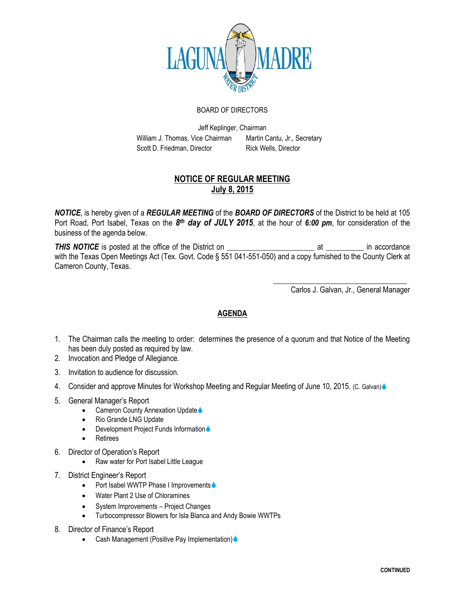

## BOARD OF DIRECTORS

Jeff Keplinger, Chairman William J. Thomas, Vice Chairman Martin Cantu, Jr., Secretary Scott D. Friedman, Director Rick Wells, Director

## **NOTICE OF REGULAR MEETING July 8, 2015**

*NOTICE*, is hereby given of a *REGULAR MEETING* of the *BOARD OF DIRECTORS* of the District to be held at 105 Port Road, Port Isabel, Texas on the 8<sup>th</sup> day of JULY 2015, at the hour of 6:00 pm, for consideration of the business of the agenda below.

**THIS NOTICE** is posted at the office of the District on **Example 2** at The accordance with the Texas Open Meetings Act (Tex. Govt. Code § 551 041-551-050) and a copy furnished to the County Clerk at Cameron County, Texas.

Carlos J. Galvan, Jr., General Manager

\_\_\_\_\_\_\_\_\_\_\_\_\_\_\_\_\_\_\_\_\_\_\_\_\_\_\_\_\_\_\_\_\_\_\_

## **AGENDA**

- 1. The Chairman calls the meeting to order: determines the presence of a quorum and that Notice of the Meeting has been duly posted as required by law.
- 2. Invocation and Pledge of Allegiance.
- 3. Invitation to audience for discussion.
- 4. Consider and approve Minutes for Workshop Meeting and Regular Meeting of June 10, 2015. (C. Galvan)
- 5. General Manager's Report
	- Cameron County Annexation Update
	- Rio Grande LNG Update
	- Development Project Funds Information •
	- Retirees
- 6. Director of Operation's Report
	- Raw water for Port Isabel Little League
- 7. District Engineer's Report
	- Port Isabel WWTP Phase I Improvements •
	- Water Plant 2 Use of Chloramines
	- System Improvements Project Changes
	- Turbocompressor Blowers for Isla Blanca and Andy Bowie WWTPs
- 8. Director of Finance's Report
	- Cash Management (Positive Pay Implementation) •